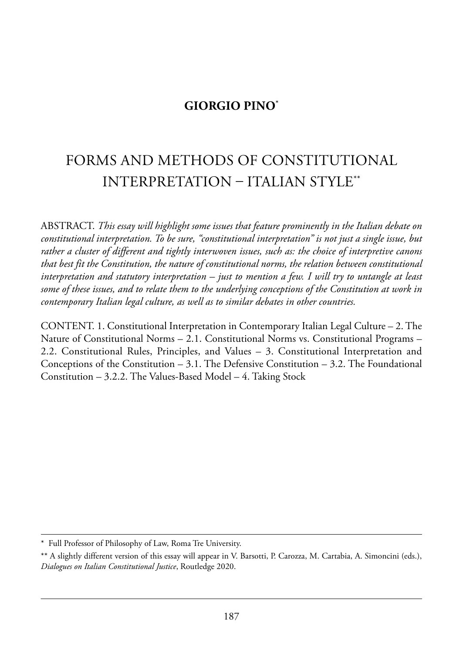## **GIORGIO PINO\***

# forms and methods of Constitutional interpretation – italian stYle\*\*

aBstraCt. *This essay will highlight some issues that feature prominently in the Italian debate on constitutional interpretation. To be sure, "constitutional interpretation" is not just a single issue, but rather a cluster of different and tightly interwoven issues, such as: the choice of interpretive canons that best fit the Constitution, the nature of constitutional norms, the relation between constitutional interpretation and statutory interpretation – just to mention a few. I will try to untangle at least some of these issues, and to relate them to the underlying conceptions of the Constitution at work in contemporary Italian legal culture, as well as to similar debates in other countries.*

CONTENT. 1. Constitutional Interpretation in Contemporary Italian Legal Culture – 2. The Nature of Constitutional Norms – 2.1. Constitutional Norms vs. Constitutional Programs – 2.2. Constitutional Rules, Principles, and Values  $-$  3. Constitutional Interpretation and Conceptions of the Constitution – 3.1. The Defensive Constitution – 3.2. The Foundational Constitution  $-3.2.2$ . The Values-Based Model  $-4$ . Taking Stock

<sup>\*</sup> Full Professor of Philosophy of Law, Roma Tre University.

<sup>\*\*</sup> a slightly different version of this essay will appear in V. Barsotti, p. Carozza, m. Cartabia, a. simoncini (eds.), Dialogues on Italian Constitutional Justice, Routledge 2020.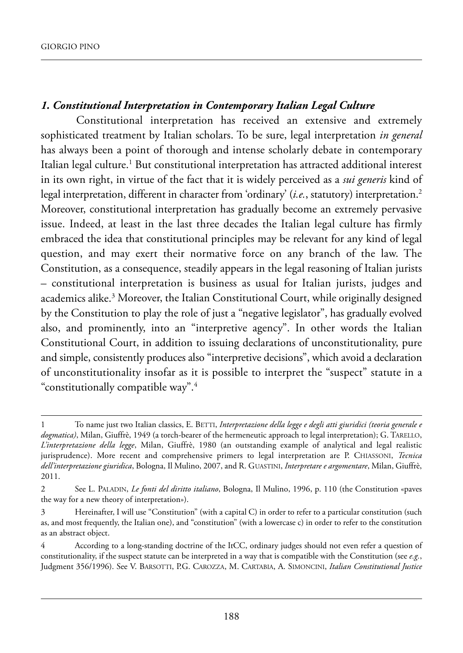## *1. Constitutional Interpretation in Contemporary Italian Legal Culture*

Constitutional interpretation has received an extensive and extremely sophisticated treatment by Italian scholars. To be sure, legal interpretation *in general* has always been a point of thorough and intense scholarly debate in contemporary Italian legal culture.<sup>1</sup> But constitutional interpretation has attracted additional interest in its own right, in virtue of the fact that it is widely perceived as a *sui generis* kind of legal interpretation, different in character from 'ordinary' (*i.e.*, statutory) interpretation.<sup>2</sup> Moreover, constitutional interpretation has gradually become an extremely pervasive issue. Indeed, at least in the last three decades the Italian legal culture has firmly embraced the idea that constitutional principles may be relevant for any kind of legal question, and may exert their normative force on any branch of the law. The Constitution, as a consequence, steadily appears in the legal reasoning of Italian jurists – constitutional interpretation is business as usual for italian jurists, judges and academics alike.<sup>3</sup> Moreover, the Italian Constitutional Court, while originally designed by the Constitution to play the role of just a "negative legislator", has gradually evolved also, and prominently, into an "interpretive agency". In other words the Italian Constitutional Court, in addition to issuing declarations of unconstitutionality, pure and simple, consistently produces also "interpretive decisions", which avoid a declaration of unconstitutionality insofar as it is possible to interpret the "suspect" statute in a "constitutionally compatible way".4

To name just two Italian classics, E. BETTI, *Interpretazione della legge e degli atti giuridici (teoria generale e dogmatica*), Milan, Giuffrè, 1949 (a torch-bearer of the hermeneutic approach to legal interpretation); G. TARELLO, *L'interpretazione della legge*, milan, Giuffrè, 1980 (an outstanding example of analytical and legal realistic jurisprudence). More recent and comprehensive primers to legal interpretation are P. CHIASSONI, *Tecnica dell'interpretazione giuridica*, Bologna, il mulino, 2007, and r. Guastini, *Interpretare e argomentare*, milan, Giuffrè, 2011.

<sup>2</sup> see l. paladin, *Le fonti del diritto italiano*, Bologna, il mulino, 1996, p. 110 (the Constitution «paves the way for a new theory of interpretation»).

<sup>3</sup> hereinafter, i will use "Constitution" (with a capital C) in order to refer to a particular constitution (such as, and most frequently, the italian one), and "constitution" (with a lowercase c) in order to refer to the constitution as an abstract object.

<sup>4</sup> according to a long-standing doctrine of the itCC, ordinary judges should not even refer a question of constitutionality, if the suspect statute can be interpreted in a way that is compatible with the Constitution (see *e.g.*, Judgment 356/1996). see V. Barsotti, p.G. CaroZZa, m. CartaBia, a. simonCini, *Italian Constitutional Justice*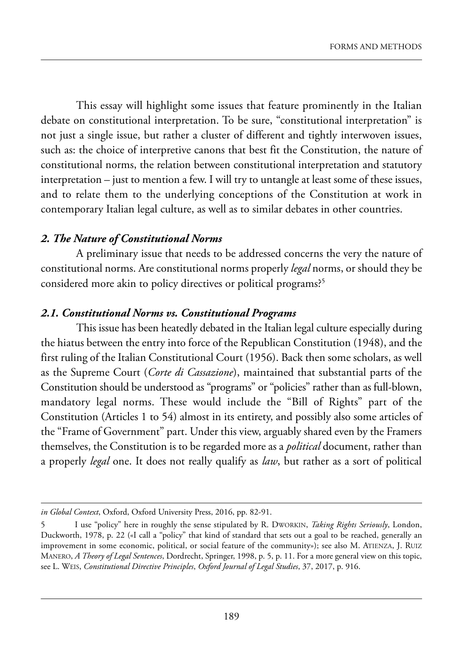This essay will highlight some issues that feature prominently in the Italian debate on constitutional interpretation. To be sure, "constitutional interpretation" is not just a single issue, but rather a cluster of different and tightly interwoven issues, such as: the choice of interpretive canons that best fit the Constitution, the nature of constitutional norms, the relation between constitutional interpretation and statutory  $interpretation - just to mention a few. I will try to untangle at least some of these issues,$ and to relate them to the underlying conceptions of the Constitution at work in contemporary Italian legal culture, as well as to similar debates in other countries.

#### *2. The Nature of Constitutional Norms*

a preliminary issue that needs to be addressed concerns the very the nature of constitutional norms. Are constitutional norms properly *legal* norms, or should they be considered more akin to policy directives or political programs?<sup>5</sup>

#### *2.1. Constitutional Norms vs. Constitutional Programs*

This issue has been heatedly debated in the Italian legal culture especially during the hiatus between the entry into force of the Republican Constitution (1948), and the first ruling of the Italian Constitutional Court (1956). Back then some scholars, as well as the supreme Court (*Corte di Cassazione*), maintained that substantial parts of the Constitution should be understood as "programs" or "policies" rather than as full-blown, mandatory legal norms. These would include the "Bill of Rights" part of the Constitution (Articles 1 to 54) almost in its entirety, and possibly also some articles of the "Frame of Government" part. Under this view, arguably shared even by the Framers themselves, the Constitution is to be regarded more as a *political* document, rather than a properly *legal* one. it does not really qualify as *law*, but rather as a sort of political

*in Global Context*, Oxford, Oxford University Press, 2016, pp. 82-91.

<sup>5</sup> I use "policy" here in roughly the sense stipulated by R. Dworkin, *Taking Rights Seriously*, London, Duckworth, 1978, p. 22 («I call a "policy" that kind of standard that sets out a goal to be reached, generally an improvement in some economic, political, or social feature of the community»); see also M. ATIENZA, J. RUIZ MANERO, *A Theory of Legal Sentences*, Dordrecht, Springer, 1998, p. 5, p. 11. For a more general view on this topic, see l. weis, *Constitutional Directive Principles*, *Oxford Journal of Legal Studies*, 37, 2017, p. 916.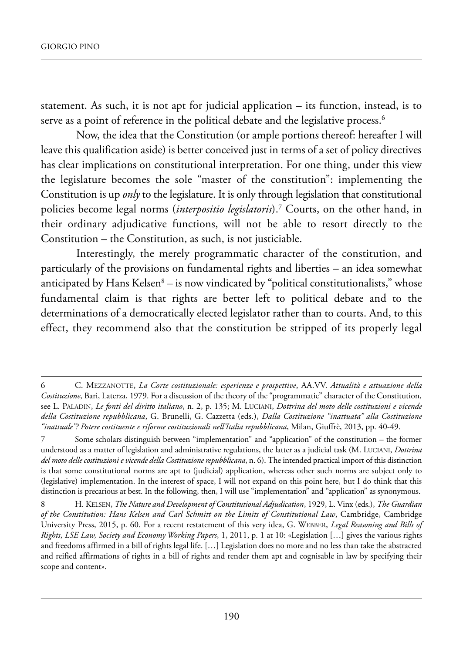statement. As such, it is not apt for judicial application  $-$  its function, instead, is to serve as a point of reference in the political debate and the legislative process.<sup>6</sup>

Now, the idea that the Constitution (or ample portions thereof: hereafter I will leave this qualification aside) is better conceived just in terms of a set of policy directives has clear implications on constitutional interpretation. for one thing, under this view the legislature becomes the sole "master of the constitution": implementing the Constitution is up *only* to the legislature. It is only through legislation that constitutional policies become legal norms (*interpositio legislatoris*).7 Courts, on the other hand, in their ordinary adjudicative functions, will not be able to resort directly to the Constitution – the Constitution, as such, is not justiciable.

Interestingly, the merely programmatic character of the constitution, and particularly of the provisions on fundamental rights and liberties – an idea somewhat anticipated by Hans Kelsen $8 -$  is now vindicated by "political constitutionalists," whose fundamental claim is that rights are better left to political debate and to the determinations of a democratically elected legislator rather than to courts. And, to this effect, they recommend also that the constitution be stripped of its properly legal

<sup>6</sup> C. meZZanotte, *La Corte costituzionale: esperienze e prospettive*, aa.VV. *Attualità e attuazione della Costituzione*, Bari, laterza, 1979. for a discussion of the theory of the "programmatic" character of the Constitution, see l. paladin, *Le fonti del diritto italiano*, n. 2, p. 135; m. luCiani, *Dottrina del moto delle costituzioni e vicende della Costituzione repubblicana*, G. Brunelli, G. Cazzetta (eds.), *Dalla Costituzione "inattuata" alla Costituzione "inattuale"? Potere costituente e riforme costituzionali nell'Italia repubblicana*, milan, Giuffrè, 2013, pp. 40-49.

<sup>7</sup> some scholars distinguish between "implementation" and "application" of the constitution – the former understood as a matter of legislation and administrative regulations, the latter as a judicial task (m. luCiani, *Dottrina del moto delle costituzioni e vicende della Costituzione repubblicana*, n. 6). the intended practical import of this distinction is that some constitutional norms are apt to (judicial) application, whereas other such norms are subject only to (legislative) implementation. in the interest of space, i will not expand on this point here, but i do think that this distinction is precarious at best. in the following, then, i will use "implementation" and "application" as synonymous.

<sup>8</sup> h. kelsen, *The Nature and Development of Constitutional Adjudication*, 1929, l. Vinx (eds.), *The Guardian of the Constitution: Hans Kelsen and Carl Schmitt on the Limits of Constitutional Law*, Cambridge, Cambridge University Press, 2015, p. 60. For a recent restatement of this very idea, G. WEBBER, *Legal Reasoning and Bills of Rights*, *LSE Law, Society and Economy Working Papers*, 1, 2011, p. 1 at 10: «legislation […] gives the various rights and freedoms affirmed in a bill of rights legal life. […] legislation does no more and no less than take the abstracted and reified affirmations of rights in a bill of rights and render them apt and cognisable in law by specifying their scope and content».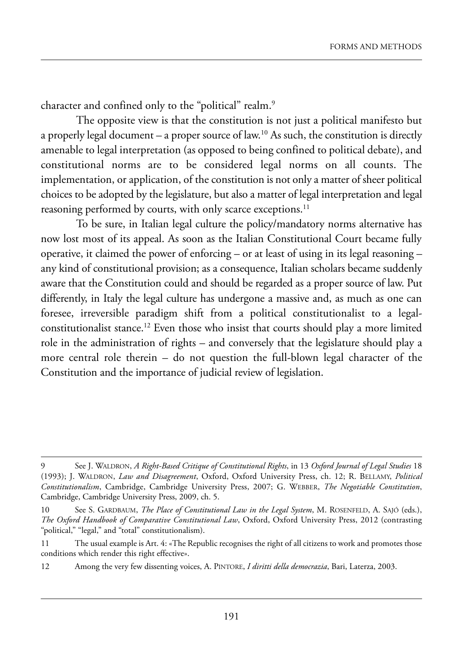character and confined only to the "political" realm.<sup>9</sup>

The opposite view is that the constitution is not just a political manifesto but a properly legal document – a proper source of law.<sup>10</sup> As such, the constitution is directly amenable to legal interpretation (as opposed to being confined to political debate), and constitutional norms are to be considered legal norms on all counts. The implementation, or application, of the constitution is not only a matter of sheer political choices to be adopted by the legislature, but also a matter of legal interpretation and legal reasoning performed by courts, with only scarce exceptions.<sup>11</sup>

To be sure, in Italian legal culture the policy/mandatory norms alternative has now lost most of its appeal. As soon as the Italian Constitutional Court became fully operative, it claimed the power of enforcing – or at least of using in its legal reasoning – any kind of constitutional provision; as a consequence, italian scholars became suddenly aware that the Constitution could and should be regarded as a proper source of law. Put differently, in italy the legal culture has undergone a massive and, as much as one can foresee, irreversible paradigm shift from a political constitutionalist to a legalconstitutionalist stance.<sup>12</sup> Even those who insist that courts should play a more limited role in the administration of rights – and conversely that the legislature should play a more central role therein – do not question the full-blown legal character of the Constitution and the importance of judicial review of legislation.

<sup>9</sup> see J. waldron, *A Right-Based Critique of Constitutional Rights*, in 13 *Oxford Journal of Legal Studies* 18 (1993); J. WALDRON, *Law and Disagreement*, Oxford, Oxford University Press, ch. 12; R. BELLAMY, *Political Constitutionalism*, Cambridge, Cambridge university press, 2007; G. weBBer, *The Negotiable Constitution*, Cambridge, Cambridge University Press, 2009, ch. 5.

<sup>10</sup> See S. GARDBAUM, *The Place of Constitutional Law in the Legal System*, M. ROSENFELD, A. SAJÓ (eds.), The Oxford Handbook of Comparative Constitutional Law, Oxford, Oxford University Press, 2012 (contrasting "political," "legal," and "total" constitutionalism).

<sup>11</sup> The usual example is Art. 4: «The Republic recognises the right of all citizens to work and promotes those conditions which render this right effective».

<sup>12</sup> Among the very few dissenting voices, A. PINTORE, *I diritti della democrazia*, Bari, Laterza, 2003.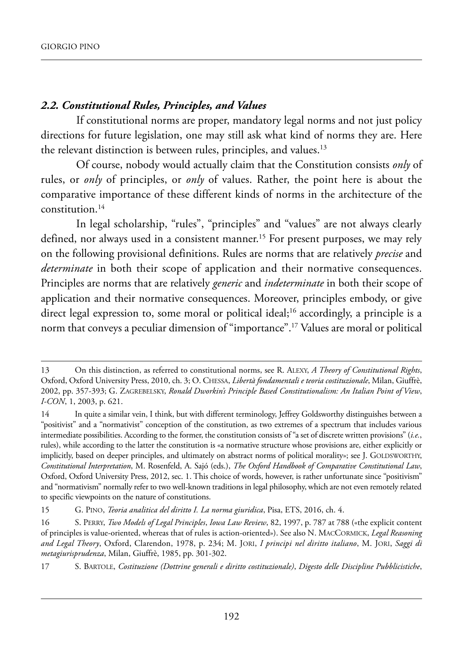### *2.2. Constitutional Rules, Principles, and Values*

If constitutional norms are proper, mandatory legal norms and not just policy directions for future legislation, one may still ask what kind of norms they are. Here the relevant distinction is between rules, principles, and values.<sup>13</sup>

of course, nobody would actually claim that the Constitution consists *only* of rules, or *only* of principles, or *only* of values. Rather, the point here is about the comparative importance of these different kinds of norms in the architecture of the constitution.14

In legal scholarship, "rules", "principles" and "values" are not always clearly defined, nor always used in a consistent manner.<sup>15</sup> For present purposes, we may rely on the following provisional definitions. Rules are norms that are relatively *precise* and *determinate* in both their scope of application and their normative consequences. principles are norms that are relatively *generic* and *indeterminate* in both their scope of application and their normative consequences. Moreover, principles embody, or give direct legal expression to, some moral or political ideal;<sup>16</sup> accordingly, a principle is a norm that conveys a peculiar dimension of "importance".17 Values are moral or political

<sup>13</sup> On this distinction, as referred to constitutional norms, see R. ALEXY, *A Theory of Constitutional Rights*, Oxford, Oxford University Press, 2010, ch. 3; O. CHESSA, *Libertà fondamentali e teoria costituzionale*, Milan, Giuffrè, 2002, pp. 357-393; G. ZaGreBelskY, *Ronald Dworkin's Principle Based Constitutionalism: An Italian Point of View*, *I-CON*, 1, 2003, p. 621.

<sup>14</sup> In quite a similar vein, I think, but with different terminology, Jeffrey Goldsworthy distinguishes between a "positivist" and a "normativist" conception of the constitution, as two extremes of a spectrum that includes various intermediate possibilities. According to the former, the constitution consists of "a set of discrete written provisions" (*i.e.*, rules), while according to the latter the constitution is «a normative structure whose provisions are, either explicitly or implicitly, based on deeper principles, and ultimately on abstract norms of political morality»; see J. GOLDSWORTHY, *Constitutional Interpretation*, m. rosenfeld, a. sajó (eds.), *The Oxford Handbook of Comparative Constitutional Law*, Oxford, Oxford University Press, 2012, sec. 1. This choice of words, however, is rather unfortunate since "positivism" and "normativism" normally refer to two well-known traditions in legal philosophy, which are not even remotely related to specific viewpoints on the nature of constitutions.

<sup>15</sup> G. PINO, *Teoria analitica del diritto I. La norma giuridica*, Pisa, ETS, 2016, ch. 4.

<sup>16</sup> s. perrY, *Two Models of Legal Principles*, *Iowa Law Review*, 82, 1997, p. 787 at 788 («the explicit content of principles is value-oriented, whereas that of rules is action-oriented»). see also n. maCCormiCk, *Legal Reasoning and Legal Theory*, oxford, Clarendon, 1978, p. 234; m. Jori, *I principi nel diritto italiano*, m. Jori, *Saggi di metagiurisprudenza*, milan, Giuffrè, 1985, pp. 301-302.

<sup>17</sup> s. Bartole, *Costituzione (Dottrine generali e diritto costituzionale)*, *Digesto delle Discipline Pubblicistiche*,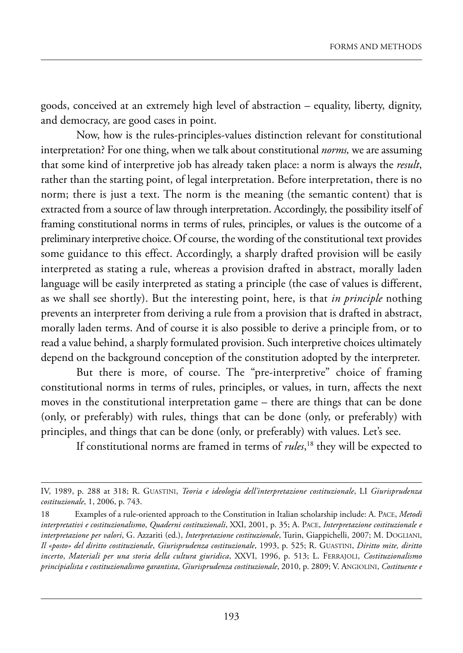goods, conceived at an extremely high level of abstraction – equality, liberty, dignity, and democracy, are good cases in point.

Now, how is the rules-principles-values distinction relevant for constitutional interpretation? for one thing, when we talk about constitutional *norms,* we are assuming that some kind of interpretive job has already taken place: a norm is always the *result*, rather than the starting point, of legal interpretation. Before interpretation, there is no norm; there is just a text. The norm is the meaning (the semantic content) that is extracted from a source of law through interpretation. Accordingly, the possibility itself of framing constitutional norms in terms of rules, principles, or values is the outcome of a preliminary interpretive choice. of course, the wording of the constitutional text provides some guidance to this effect. Accordingly, a sharply drafted provision will be easily interpreted as stating a rule, whereas a provision drafted in abstract, morally laden language will be easily interpreted as stating a principle (the case of values is different, as we shall see shortly). But the interesting point, here, is that *in principle* nothing prevents an interpreter from deriving a rule from a provision that is drafted in abstract, morally laden terms. And of course it is also possible to derive a principle from, or to read a value behind, a sharply formulated provision. such interpretive choices ultimately depend on the background conception of the constitution adopted by the interpreter.

But there is more, of course. The "pre-interpretive" choice of framing constitutional norms in terms of rules, principles, or values, in turn, affects the next moves in the constitutional interpretation game – there are things that can be done (only, or preferably) with rules, things that can be done (only, or preferably) with principles, and things that can be done (only, or preferably) with values. let's see.

if constitutional norms are framed in terms of *rules*, <sup>18</sup> they will be expected to

IV, 1989, p. 288 at 318; R. GUASTINI, *Teoria e ideologia dell'interpretazione costituzionale*, LI Giurisprudenza *costituzionale*, 1, 2006, p. 743.

<sup>18</sup> Examples of a rule-oriented approach to the Constitution in Italian scholarship include: A. PACE, *Metodi interpretativi e costituzionalismo*, *Quaderni costituzionali*, XXi, 2001, p. 35; a. paCe, *Interpretazione costituzionale e interpretazione per valori*, G. Azzariti (ed.), *Interpretazione costituzionale*, Turin, Giappichelli, 2007; M. DOGLIANI, *Il «posto» del diritto costituzionale*, *Giurisprudenza costituzionale*, 1993, p. 525; r. Guastini, *Diritto mite, diritto incerto*, *Materiali per una storia della cultura giuridica*, XXVi, 1996, p. 513; l. ferraJoli, *Costituzionalismo principialista e costituzionalismo garantista*, *Giurisprudenza costituzionale*, 2010, p. 2809; V. anGiolini, *Costituente e*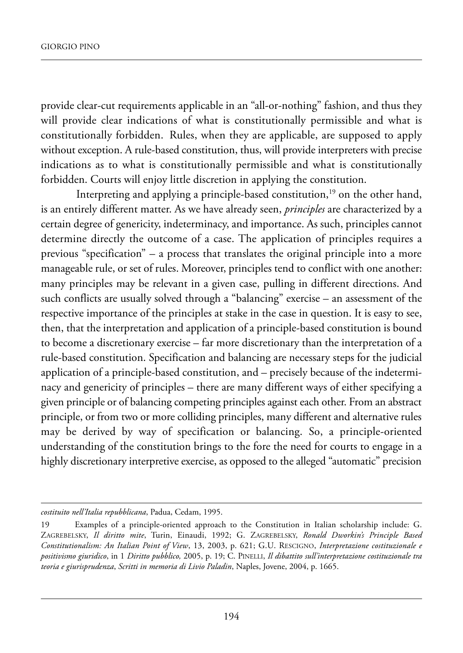provide clear-cut requirements applicable in an "all-or-nothing" fashion, and thus they will provide clear indications of what is constitutionally permissible and what is constitutionally forbidden. Rules, when they are applicable, are supposed to apply without exception. A rule-based constitution, thus, will provide interpreters with precise indications as to what is constitutionally permissible and what is constitutionally forbidden. Courts will enjoy little discretion in applying the constitution.

Interpreting and applying a principle-based constitution, $19$  on the other hand, is an entirely different matter. As we have already seen, *principles* are characterized by a certain degree of genericity, indeterminacy, and importance. As such, principles cannot determine directly the outcome of a case. The application of principles requires a previous "specification" – a process that translates the original principle into a more manageable rule, or set of rules. Moreover, principles tend to conflict with one another: many principles may be relevant in a given case, pulling in different directions. And such conflicts are usually solved through a "balancing" exercise – an assessment of the respective importance of the principles at stake in the case in question. It is easy to see, then, that the interpretation and application of a principle-based constitution is bound to become a discretionary exercise – far more discretionary than the interpretation of a rule-based constitution. specification and balancing are necessary steps for the judicial application of a principle-based constitution, and – precisely because of the indeterminacy and genericity of principles – there are many different ways of either specifying a given principle or of balancing competing principles against each other. from an abstract principle, or from two or more colliding principles, many different and alternative rules may be derived by way of specification or balancing. So, a principle-oriented understanding of the constitution brings to the fore the need for courts to engage in a highly discretionary interpretive exercise, as opposed to the alleged "automatic" precision

*costituito nell'Italia repubblicana*, padua, Cedam, 1995.

<sup>19</sup> Examples of a principle-oriented approach to the Constitution in Italian scholarship include: G. ZaGreBelskY, *Il diritto mite*, turin, einaudi, 1992; G. ZaGreBelskY, *Ronald Dworkin's Principle Based Constitutionalism: An Italian Point of View*, 13, 2003, p. 621; G.u. resCiGno, *Interpretazione costituzionale e positivismo giuridico*, in 1 *Diritto pubblico,* 2005, p. 19; C. pinelli, *Il dibattito sull'interpretazione costituzionale tra teoria e giurisprudenza*, *Scritti in memoria di Livio Paladin*, naples, Jovene, 2004, p. 1665.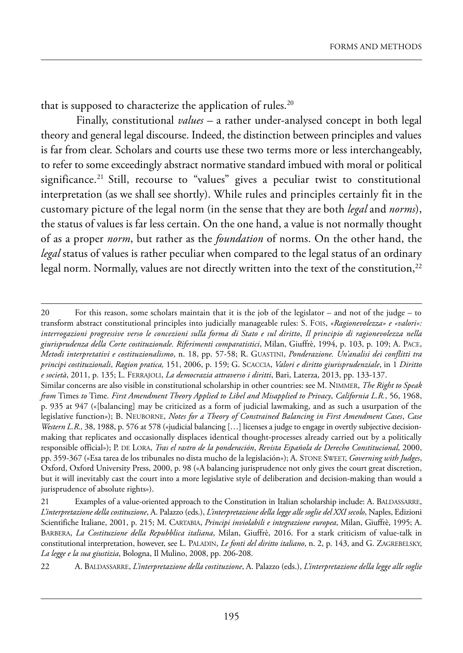that is supposed to characterize the application of rules.<sup>20</sup>

finally, constitutional *values –* a rather under-analysed concept in both legal theory and general legal discourse. Indeed, the distinction between principles and values is far from clear. Scholars and courts use these two terms more or less interchangeably, to refer to some exceedingly abstract normative standard imbued with moral or political significance.<sup>21</sup> Still, recourse to "values" gives a peculiar twist to constitutional interpretation (as we shall see shortly). while rules and principles certainly fit in the customary picture of the legal norm (in the sense that they are both *legal* and *norms*), the status of values is far less certain. On the one hand, a value is not normally thought of as a proper *norm*, but rather as the *foundation* of norms. On the other hand, the *legal* status of values is rather peculiar when compared to the legal status of an ordinary legal norm. Normally, values are not directly written into the text of the constitution,<sup>22</sup>

<sup>20</sup> For this reason, some scholars maintain that it is the job of the legislator – and not of the judge – to transform abstract constitutional principles into judicially manageable rules: s. fois, *«Ragionevolezza» e «valori»: interrogazioni progressive verso le concezioni sulla forma di Stato e sul diritto*, *Il principio di ragionevolezza nella* giurisprudenza della Corte costituzionale. Riferimenti comparatistici, Milan, Giuffrè, 1994, p. 103, p. 109; A. PACE, *Metodi interpretativi e costituzionalismo*, n. 18, pp. 57-58; r. Guastini, *Ponderazione. Un'analisi dei conflitti tra principi costituzionali*, *Ragion pratica,* 151, 2006, p. 159; G. sCaCCia, *Valori e diritto giurisprudenziale*, in 1 *Diritto e società*, 2011, p. 135; l. ferraJoli, *La democrazia attraverso i diritti*, Bari, laterza, 2013, pp. 133-137.

Similar concerns are also visible in constitutional scholarship in other countries: see M. NIMMER, *The Right to Speak from* times *to* time*. First Amendment Theory Applied to Libel and Misapplied to Privacy*, *California L.R.*, 56, 1968, p. 935 at 947 («[balancing] may be criticized as a form of judicial lawmaking, and as such a usurpation of the legislative function»); B. neuBorne, *Notes for a Theory of Constrained Balancing in First Amendment Cases*, *Case* Western L.R., 38, 1988, p. 576 at 578 («judicial balancing [...] licenses a judge to engage in overtly subjective decisionmaking that replicates and occasionally displaces identical thought-processes already carried out by a politically responsible official»); p. de lora, *Tras el rastro de la ponderación*, *Revista Española de Derecho Constitucional,* 2000, pp. 359-367 («esa tarea de los tribunales no dista mucho de la legislación»); a. stone sweet, *Governing with Judges*, Oxford, Oxford University Press, 2000, p. 98 («A balancing jurisprudence not only gives the court great discretion, but it will inevitably cast the court into a more legislative style of deliberation and decision-making than would a jurisprudence of absolute rights»).

<sup>21</sup> Examples of a value-oriented approach to the Constitution in Italian scholarship include: A. BALDASSARRE, L'interpretazione della costituzione, A. Palazzo (eds.), L'interpretazione della legge alle soglie del XXI secolo, Naples, Edizioni scientifiche italiane, 2001, p. 215; m. CartaBia, *Principi inviolabili e integrazione europea*, milan, Giuffrè, 1995; a. BarBera, *La Costituzione della Repubblica italiana*, milan, Giuffrè, 2016. for a stark criticism of value-talk in constitutional interpretation, however, see L. PALADIN, *Le fonti del diritto italiano*, n. 2, p. 143, and G. ZAGREBELSKY, *La legge e la sua giustizia*, Bologna, il mulino, 2008, pp. 206-208.

<sup>22</sup> A. BALDASSARRE, *L'interpretazione della costituzione*, A. Palazzo (eds.), *L'interpretazione della legge alle soglie*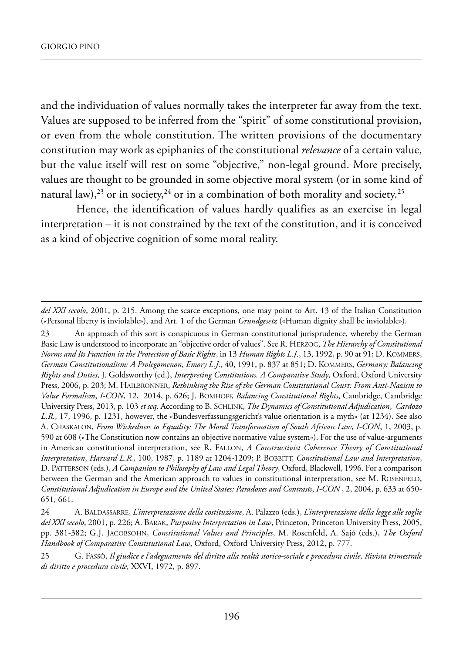and the individuation of values normally takes the interpreter far away from the text. Values are supposed to be inferred from the "spirit" of some constitutional provision, or even from the whole constitution. The written provisions of the documentary constitution may work as epiphanies of the constitutional *relevance* of a certain value, but the value itself will rest on some "objective," non-legal ground. More precisely, values are thought to be grounded in some objective moral system (or in some kind of natural law),<sup>23</sup> or in society,<sup>24</sup> or in a combination of both morality and society.<sup>25</sup>

hence, the identification of values hardly qualifies as an exercise in legal interpretation – it is not constrained by the text of the constitution, and it is conceived as a kind of objective cognition of some moral reality.

23 An approach of this sort is conspicuous in German constitutional jurisprudence, whereby the German Basic Law is understood to incorporate an "objective order of values". See R. HERZOG, *The Hierarchy of Constitutional Norms and Its Function in the Protection of Basic Rights*, in 13 *Human Rights L.J.*, 13, 1992, p. 90 at 91; D. KOMMERS, *German Constitutionalism: A Prolegomenon*, *Emory L.J.*, 40, 1991, p. 837 at 851; d. kommers, *Germany: Balancing Rights and Duties*, J. Goldsworthy (ed.), *Interpreting Constitutions. A Comparative Study*, oxford, oxford university press, 2006, p. 203; m. hailBronner, *Rethinking the Rise of the German Constitutional Court: From Anti-Nazism to Value Formalism*, *I-CON*, 12, 2014, p. 626; J. Bomhoff, *Balancing Constitutional Rights*, Cambridge, Cambridge university press, 2013, p. 103 *et seq.* according to B. sChlink, *The Dynamics of Constitutional Adjudication*, *Cardozo L.R.*, 17, 1996, p. 1231, however, the «Bundesverfassungsgericht's value orientation is a myth» (at 1234). see also a. Chaskalon, *From Wickedness to Equality: The Moral Transformation of South African Law*, *I-CON*, 1, 2003, p. 590 at 608 («the Constitution now contains an objective normative value system»). for the use of value-arguments in American constitutional interpretation, see R. FALLON, *A Constructivist Coherence Theory of Constitutional Interpretation*, *Harvard L.R.*, 100, 1987, p. 1189 at 1204-1209; p. BoBBitt, *Constitutional Law and Interpretation*, D. PATTERSON (eds.), *A Companion to Philosophy of Law and Legal Theory*, Oxford, Blackwell, 1996. For a comparison between the German and the American approach to values in constitutional interpretation, see M. ROSENFELD, *Constitutional Adjudication in Europe and the United States: Paradoxes and Contrasts*, *I-CON* , 2, 2004, p. 633 at 650- 651, 661.

del XXI secolo, 2001, p. 215. Among the scarce exceptions, one may point to Art. 13 of the Italian Constitution («personal liberty is inviolable»), and art. 1 of the German *Grundgesetz* («human dignity shall be inviolable»).

<sup>24</sup> A. BALDASSARRE, *L'interpretazione della costituzione*, A. Palazzo (eds.), *L'interpretazione della legge alle soglie del XXI secolo*, 2001, p. 226; a. Barak, *Purposive Interpretation in Law*, princeton, princeton university press, 2005, pp. 381-382; G.J. JaCoBsohn, *Constitutional Values and Principles*, m. rosenfeld, a. sajó (eds.), *The Oxford Handbook of Comparative Constitutional Law*, Oxford, Oxford University Press, 2012, p. 777.

<sup>25</sup> G. fassò, *Il giudice e l'adeguamento del diritto alla realtà storico-sociale e procedura civile*, *Rivista trimestrale di diritto e procedura civile,* XXVi, 1972, p. 897.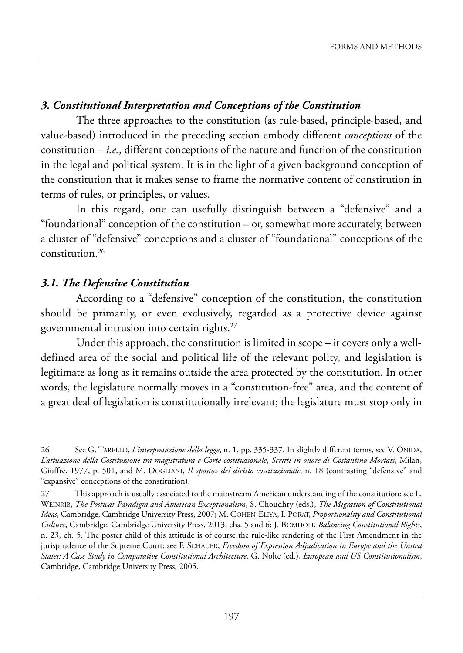## *3. Constitutional Interpretation and Conceptions of the Constitution*

The three approaches to the constitution (as rule-based, principle-based, and value-based) introduced in the preceding section embody different *conceptions* of the constitution – *i.e.*, different conceptions of the nature and function of the constitution in the legal and political system. it is in the light of a given background conception of the constitution that it makes sense to frame the normative content of constitution in terms of rules, or principles, or values.

In this regard, one can usefully distinguish between a "defensive" and a "foundational" conception of the constitution – or, somewhat more accurately, between a cluster of "defensive" conceptions and a cluster of "foundational" conceptions of the constitution.26

#### *3.1. The Defensive Constitution*

according to a "defensive" conception of the constitution, the constitution should be primarily, or even exclusively, regarded as a protective device against governmental intrusion into certain rights.27

Under this approach, the constitution is limited in scope  $-$  it covers only a welldefined area of the social and political life of the relevant polity, and legislation is legitimate as long as it remains outside the area protected by the constitution. In other words, the legislature normally moves in a "constitution-free" area, and the content of a great deal of legislation is constitutionally irrelevant; the legislature must stop only in

<sup>26</sup> See G. TARELLO, *L'interpretazione della legge*, n. 1, pp. 335-337. In slightly different terms, see V. ONIDA, L'attuazione della Costituzione tra magistratura e Corte costituzionale, Scritti in onore di Costantino Mortati, Milan, Giuffrè, 1977, p. 501, and M. DOGLIANI, *Il «posto» del diritto costituzionale*, n. 18 (contrasting "defensive" and "expansive" conceptions of the constitution).

<sup>27</sup> This approach is usually associated to the mainstream American understanding of the constitution: see L. weinriB, *The Postwar Paradigm and American Exceptionalism*, s. Choudhry (eds.), *The Migration of Constitutional* Ideas, Cambridge, Cambridge University Press, 2007; M. COHEN-ELIYA, I. PORAT, *Proportionality and Constitutional Culture*, Cambridge, Cambridge university press, 2013, chs. 5 and 6; J. Bomhoff, *Balancing Constitutional Rights*, n. 23, ch. 5. The poster child of this attitude is of course the rule-like rendering of the First Amendment in the jurisprudence of the supreme Court: see f. sChauer, *Freedom of Expression Adjudication in Europe and the United States: A Case Study in Comparative Constitutional Architecture*, G. nolte (ed.), *European and US Constitutionalism*, Cambridge, Cambridge University Press, 2005.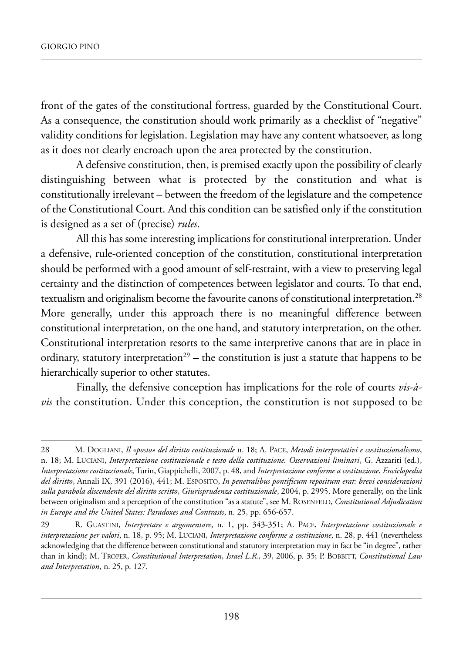front of the gates of the constitutional fortress, guarded by the Constitutional Court. As a consequence, the constitution should work primarily as a checklist of "negative" validity conditions for legislation. legislation may have any content whatsoever, as long as it does not clearly encroach upon the area protected by the constitution.

a defensive constitution, then, is premised exactly upon the possibility of clearly distinguishing between what is protected by the constitution and what is constitutionally irrelevant – between the freedom of the legislature and the competence of the Constitutional Court. And this condition can be satisfied only if the constitution is designed as a set of (precise) *rules*.

All this has some interesting implications for constitutional interpretation. Under a defensive, rule-oriented conception of the constitution, constitutional interpretation should be performed with a good amount of self-restraint, with a view to preserving legal certainty and the distinction of competences between legislator and courts. To that end, textualism and originalism become the favourite canons of constitutional interpretation.<sup>28</sup> More generally, under this approach there is no meaningful difference between constitutional interpretation, on the one hand, and statutory interpretation, on the other. Constitutional interpretation resorts to the same interpretive canons that are in place in ordinary, statutory interpretation<sup>29</sup> – the constitution is just a statute that happens to be hierarchically superior to other statutes.

finally, the defensive conception has implications for the role of courts *vis-à* $vis$  the constitution. Under this conception, the constitution is not supposed to be

<sup>28</sup> m. doGliani, *Il «posto» del diritto costituzionale* n. 18; a. paCe, *Metodi interpretativi e costituzionalismo*, n. 18; m. luCiani, *Interpretazione costituzionale e testo della costituzione. Osservazioni liminari*, G. azzariti (ed.), *Interpretazione costituzionale*, turin, Giappichelli, 2007, p. 48, and *Interpretazione conforme a costituzione*, *Enciclopedia del diritto*, annali iX, 391 (2016), 441; m. esposito, *In penetralibus pontificum repositum erat: brevi considerazioni sulla parabola discendente del diritto scritto*, *Giurisprudenza costituzionale*, 2004, p. 2995. more generally, on the link between originalism and a perception of the constitution "as a statute", see M. ROSENFELD, *Constitutional Adjudication in Europe and the United States: Paradoxes and Contrasts*, n. 25, pp. 656-657.

<sup>29</sup> r. Guastini, *Interpretare e argomentare*, n. 1, pp. 343-351; a. paCe, *Interpretazione costituzionale e interpretazione per valori*, n. 18, p. 95; M. LUCIANI, *Interpretazione conforme a costituzione*, n. 28, p. 441 (nevertheless acknowledging that the difference between constitutional and statutory interpretation may in fact be "in degree", rather than in kind); M. TROPER, *Constitutional Interpretation*, *Israel L.R.*, 39, 2006, p. 35; P. BOBBITT, *Constitutional Law and Interpretation*, n. 25, p. 127.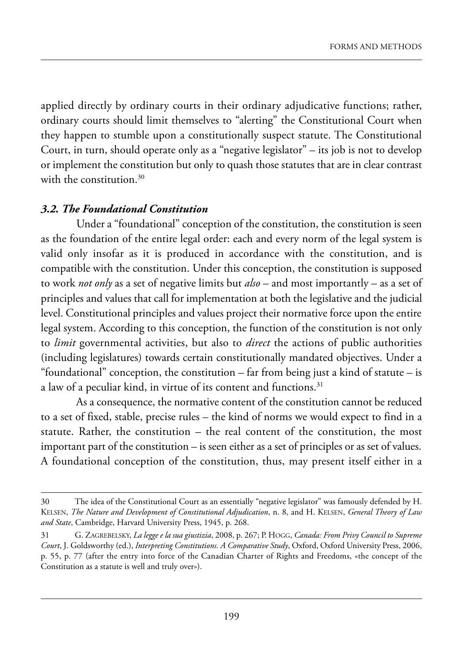applied directly by ordinary courts in their ordinary adjudicative functions; rather, ordinary courts should limit themselves to "alerting" the Constitutional Court when they happen to stumble upon a constitutionally suspect statute. The Constitutional Court, in turn, should operate only as a "negative legislator" – its job is not to develop or implement the constitution but only to quash those statutes that are in clear contrast with the constitution.<sup>30</sup>

#### *3.2. The Foundational Constitution*

Under a "foundational" conception of the constitution, the constitution is seen as the foundation of the entire legal order: each and every norm of the legal system is valid only insofar as it is produced in accordance with the constitution, and is compatible with the constitution. Under this conception, the constitution is supposed to work *not only* as a set of negative limits but *also* – and most importantly – as a set of principles and values that call for implementation at both the legislative and the judicial level. Constitutional principles and values project their normative force upon the entire legal system. According to this conception, the function of the constitution is not only to *limit* governmental activities, but also to *direct* the actions of public authorities (including legislatures) towards certain constitutionally mandated objectives. Under a "foundational" conception, the constitution – far from being just a kind of statute – is a law of a peculiar kind, in virtue of its content and functions.<sup>31</sup>

As a consequence, the normative content of the constitution cannot be reduced to a set of fixed, stable, precise rules – the kind of norms we would expect to find in a statute. Rather, the constitution  $-$  the real content of the constitution, the most important part of the constitution – is seen either as a set of principles or as set of values. a foundational conception of the constitution, thus, may present itself either in a

<sup>30</sup> The idea of the Constitutional Court as an essentially "negative legislator" was famously defended by H. kelsen, *The Nature and Development of Constitutional Adjudication*, n. 8, and h. kelsen, *General Theory of Law* and State, Cambridge, Harvard University Press, 1945, p. 268.

<sup>31</sup> G. ZaGreBelskY, *La legge e la sua giustizia*, 2008, p. 267; p. hoGG, *Canada: From Privy Council to Supreme Court*, J. Goldsworthy (ed.), *Interpreting Constitutions. A Comparative Study*, oxford, oxford university press, 2006, p. 55, p. 77 (after the entry into force of the Canadian Charter of Rights and Freedoms, «the concept of the Constitution as a statute is well and truly over»).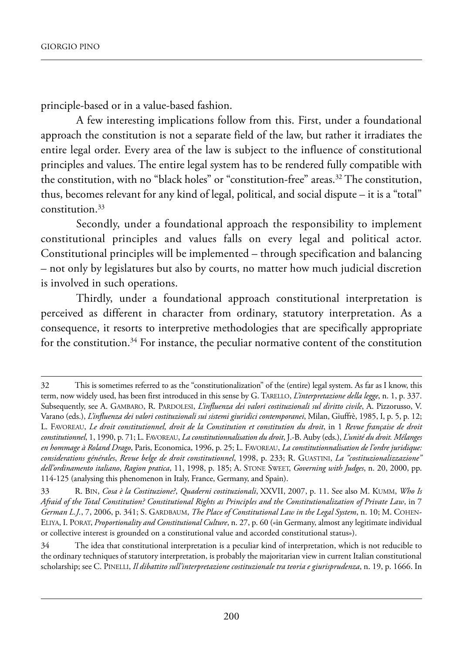principle-based or in a value-based fashion.

a few interesting implications follow from this. first, under a foundational approach the constitution is not a separate field of the law, but rather it irradiates the entire legal order. Every area of the law is subject to the influence of constitutional principles and values. The entire legal system has to be rendered fully compatible with the constitution, with no "black holes" or "constitution-free" areas.<sup>32</sup> The constitution, thus, becomes relevant for any kind of legal, political, and social dispute – it is a "total" constitution.33

secondly, under a foundational approach the responsibility to implement constitutional principles and values falls on every legal and political actor. Constitutional principles will be implemented – through specification and balancing – not only by legislatures but also by courts, no matter how much judicial discretion is involved in such operations.

Thirdly, under a foundational approach constitutional interpretation is perceived as different in character from ordinary, statutory interpretation. As a consequence, it resorts to interpretive methodologies that are specifically appropriate for the constitution.<sup>34</sup> For instance, the peculiar normative content of the constitution

<sup>32</sup> This is sometimes referred to as the "constitutionalization" of the (entire) legal system. As far as I know, this term, now widely used, has been first introduced in this sense by G. TARELLO, *L'interpretazione della legge*, n. 1, p. 337. Subsequently, see A. GAMBARO, R. PARDOLESI, *L'influenza dei valori costituzionali sul diritto civile*, A. Pizzorusso, V. Varano (eds.), *L'influenza dei valori costituzionali sui sistemi giuridici contemporanei*, milan, Giuffrè, 1985, i, p. 5, p. 12; l. faVoreau, *Le droit constitutionnel, droit de la Constitution et constitution du droit*, in 1 *Revue française de droit constitutionnel*, 1, 1990, p. 71; l. faVoreau, *La constitutionnalisation du droit*, J.-B. auby (eds.), *L'unité du droit. Mélanges en hommage à Roland Drago*, paris, economica, 1996, p. 25; l. faVoreau, *La constitutionnalisation de l'ordre juridique: considerations générales*, *Revue belge de droit constitutionnel*, 1998, p. 233; r. Guastini, *La "costituzionalizzazione" dell'ordinamento italiano*, *Ragion pratica*, 11, 1998, p. 185; a. stone sweet, *Governing with Judges*, n. 20, 2000, pp. 114-125 (analysing this phenomenon in italy, france, Germany, and spain).

<sup>33</sup> r. Bin, *Cosa è la Costituzione?*, *Quaderni costituzionali*, XXVii, 2007, p. 11. see also m. kumm, *Who Is Afraid of the Total Constitution? Constitutional Rights as Principles and the Constitutionalization of Private Law*, in 7 *German L.J.*, 7, 2006, p. 341; S. GARDBAUM, *The Place of Constitutional Law in the Legal System*, n. 10; M. COHENeliYa, i. porat, *Proportionality and Constitutional Culture*, n. 27, p. 60 («in Germany, almost any legitimate individual or collective interest is grounded on a constitutional value and accorded constitutional status»).

<sup>34</sup> the idea that constitutional interpretation is a peculiar kind of interpretation, which is not reducible to the ordinary techniques of statutory interpretation, is probably the majoritarian view in current Italian constitutional scholarship; see C. PINELLI, *Il dibattito sull'interpretazione costituzionale tra teoria e giurisprudenza*, n. 19, p. 1666. In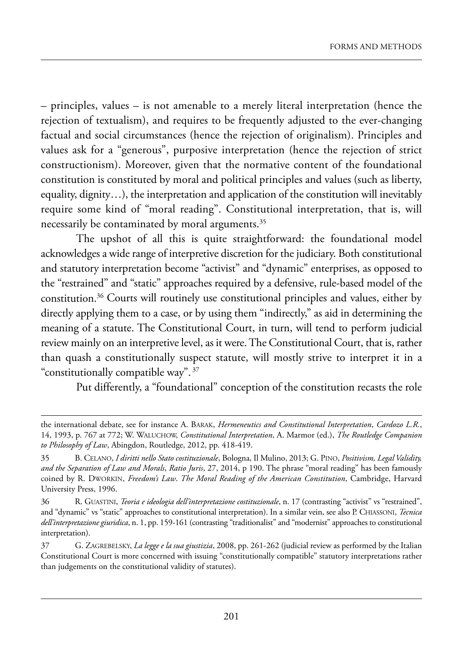– principles, values – is not amenable to a merely literal interpretation (hence the rejection of textualism), and requires to be frequently adjusted to the ever-changing factual and social circumstances (hence the rejection of originalism). principles and values ask for a "generous", purposive interpretation (hence the rejection of strict constructionism). moreover, given that the normative content of the foundational constitution is constituted by moral and political principles and values (such as liberty, equality, dignity…), the interpretation and application of the constitution will inevitably require some kind of "moral reading". Constitutional interpretation, that is, will necessarily be contaminated by moral arguments.<sup>35</sup>

The upshot of all this is quite straightforward: the foundational model acknowledges a wide range of interpretive discretion for the judiciary. Both constitutional and statutory interpretation become "activist" and "dynamic" enterprises, as opposed to the "restrained" and "static" approaches required by a defensive, rule-based model of the constitution.36 Courts will routinely use constitutional principles and values, either by directly applying them to a case, or by using them "indirectly," as aid in determining the meaning of a statute. The Constitutional Court, in turn, will tend to perform judicial review mainly on an interpretive level, as it were. the Constitutional Court, that is, rather than quash a constitutionally suspect statute, will mostly strive to interpret it in a "constitutionally compatible way". <sup>37</sup>

put differently, a "foundational" conception of the constitution recasts the role

the international debate, see for instance a. Barak, *Hermeneutics and Constitutional Interpretation*, *Cardozo L.R.*, 14, 1993, p. 767 at 772; w. waluChow, *Constitutional Interpretation*, a. marmor (ed.), *The Routledge Companion* to Philosophy of Law, Abingdon, Routledge, 2012, pp. 418-419.

<sup>35</sup> B. Celano, *I diritti nello Stato costituzionale*, Bologna, il mulino, 2013; G. pino, *Positivism, Legal Validity,* and the Separation of Law and Morals, Ratio Juris, 27, 2014, p 190. The phrase "moral reading" has been famously coined by R. DWORKIN, *Freedom's Law. The Moral Reading of the American Constitution*, Cambridge, Harvard University Press, 1996.

<sup>36</sup> r. Guastini, *Teoria e ideologia dell'interpretazione costituzionale*, n. 17 (contrasting "activist" vs "restrained", and "dynamic" vs "static" approaches to constitutional interpretation). In a similar vein, see also P. CHIASSONI, *Tecnica* dell'interpretazione giuridica, n. 1, pp. 159-161 (contrasting "traditionalist" and "modernist" approaches to constitutional interpretation).

<sup>37</sup> G. ZaGreBelskY, *La legge e la sua giustizia*, 2008, pp. 261-262 (judicial review as performed by the italian Constitutional Court is more concerned with issuing "constitutionally compatible" statutory interpretations rather than judgements on the constitutional validity of statutes).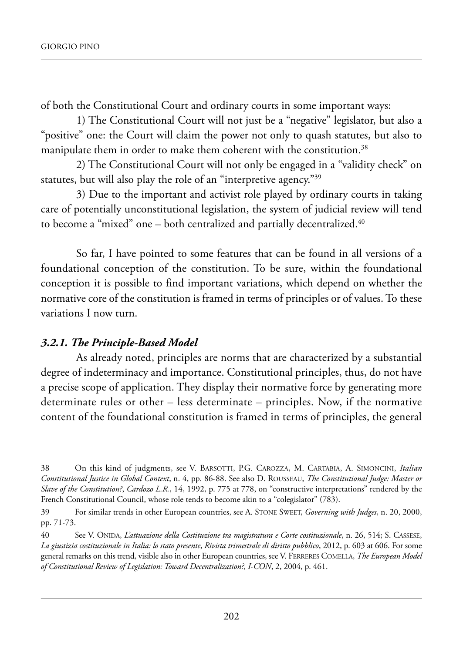of both the Constitutional Court and ordinary courts in some important ways:

1) The Constitutional Court will not just be a "negative" legislator, but also a "positive" one: the Court will claim the power not only to quash statutes, but also to manipulate them in order to make them coherent with the constitution.<sup>38</sup>

2) the Constitutional Court will not only be engaged in a "validity check" on statutes, but will also play the role of an "interpretive agency."39

3) Due to the important and activist role played by ordinary courts in taking care of potentially unconstitutional legislation, the system of judicial review will tend to become a "mixed" one – both centralized and partially decentralized.<sup>40</sup>

so far, i have pointed to some features that can be found in all versions of a foundational conception of the constitution. To be sure, within the foundational conception it is possible to find important variations, which depend on whether the normative core of the constitution is framed in terms of principles or of values. To these variations I now turn.

#### *3.2.1. The Principle-Based Model*

As already noted, principles are norms that are characterized by a substantial degree of indeterminacy and importance. Constitutional principles, thus, do not have a precise scope of application. They display their normative force by generating more determinate rules or other  $-$  less determinate  $-$  principles. Now, if the normative content of the foundational constitution is framed in terms of principles, the general

<sup>38</sup> On this kind of judgments, see V. BARSOTTI, P.G. CAROZZA, M. CARTABIA, A. SIMONCINI, *Italian Constitutional Justice in Global Context*, n. 4, pp. 86-88. see also d. rousseau, *The Constitutional Judge: Master or Slave of the Constitution?*, *Cardozo L.R.*, 14, 1992, p. 775 at 778, on "constructive interpretations" rendered by the french Constitutional Council, whose role tends to become akin to a "colegislator" (783).

<sup>39</sup> for similar trends in other european countries, see a. stone sweet, *Governing with Judges*, n. 20, 2000, pp. 71-73.

<sup>40</sup> See V. ONIDA, *L'attuazione della Costituzione tra magistratura e Corte costituzionale*, n. 26, 514; S. CASSESE, *La giustizia costituzionale in Italia: lo stato presente*, *Rivista trimestrale di diritto pubblico*, 2012, p. 603 at 606. for some general remarks on this trend, visible also in other European countries, see V. FERRERES COMELLA, *The European Model of Constitutional Review of Legislation: Toward Decentralization?*, *I-CON*, 2, 2004, p. 461.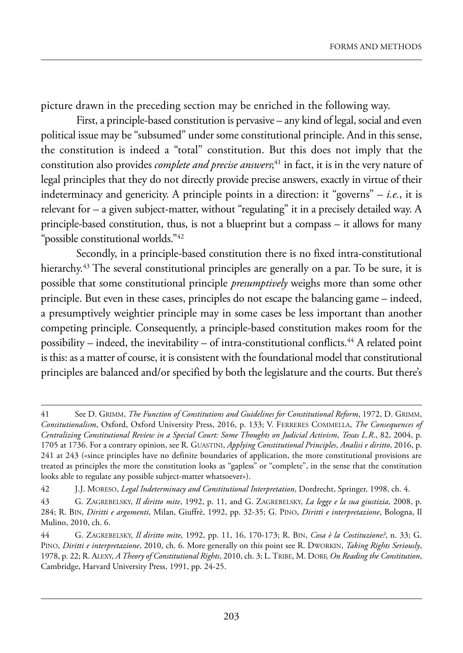picture drawn in the preceding section may be enriched in the following way.

first, a principle-based constitution is pervasive – any kind of legal, social and even political issue may be "subsumed" under some constitutional principle. And in this sense, the constitution is indeed a "total" constitution. But this does not imply that the constitution also provides *complete and precise answers*; <sup>41</sup> in fact, it is in the very nature of legal principles that they do not directly provide precise answers, exactly in virtue of their indeterminacy and genericity. A principle points in a direction: it "governs"  $- i.e.,$  it is relevant for  $-$  a given subject-matter, without "regulating" it in a precisely detailed way. A principle-based constitution, thus, is not a blueprint but a compass – it allows for many "possible constitutional worlds."42

Secondly, in a principle-based constitution there is no fixed intra-constitutional hierarchy.<sup>43</sup> The several constitutional principles are generally on a par. To be sure, it is possible that some constitutional principle *presumptively* weighs more than some other principle. But even in these cases, principles do not escape the balancing game – indeed, a presumptively weightier principle may in some cases be less important than another competing principle. Consequently, a principle-based constitution makes room for the possibility – indeed, the inevitability – of intra-constitutional conflicts.<sup>44</sup> A related point is this: as a matter of course, it is consistent with the foundational model that constitutional principles are balanced and/or specified by both the legislature and the courts. But there's

<sup>41</sup> See D. GRIMM, *The Function of Constitutions and Guidelines for Constitutional Reform*, 1972, D. GRIMM, *Consitutionalism*, oxford, oxford university press, 2016, p. 133; V. ferreres Commella, *The Consequences of Centralizing Constitutional Review in a Special Court: Some Thoughts on Judicial Activism*, *Texas L.R*., 82, 2004, p. 1705 at 1736. For a contrary opinion, see R. GUASTINI, *Applying Constitutional Principles, Analisi e diritto*, 2016, p. 241 at 243 («since principles have no definite boundaries of application, the more constitutional provisions are treated as principles the more the constitution looks as "gapless" or "complete", in the sense that the constitution looks able to regulate any possible subject-matter whatsoever»).

<sup>42</sup> J.J. moreso, *Legal Indeterminacy and Constitutional Interpretation*, dordrecht, springer, 1998, ch. 4.

<sup>43</sup> G. ZaGreBelskY, *Il diritto mite*, 1992, p. 11, and G. ZaGreBelskY, *La legge e la sua giustizia*, 2008, p. 284; r. Bin, *Diritti e argomenti*, milan, Giuffrè, 1992, pp. 32-35; G. pino, *Diritti e interpretazione*, Bologna, il mulino, 2010, ch. 6.

<sup>44</sup> G. ZaGreBelskY, *Il diritto mite*, 1992, pp. 11, 16, 170-173; r. Bin, *Cosa è la Costituzione?*, n. 33; G. PINO, *Diritti e interpretazione*, 2010, ch. 6. More generally on this point see R. DWORKIN, *Taking Rights Seriously*, 1978, p. 22; R. ALEXY, *A Theory of Constitutional Rights*, 2010, ch. 3; L. TRIBE, M. DORF, *On Reading the Constitution*, Cambridge, Harvard University Press, 1991, pp. 24-25.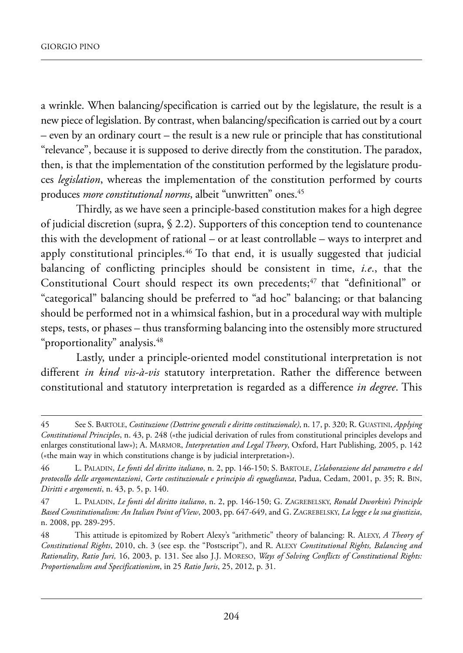a wrinkle. when balancing/specification is carried out by the legislature, the result is a new piece of legislation. By contrast, when balancing/specification is carried out by a court – even by an ordinary court – the result is a new rule or principle that has constitutional "relevance", because it is supposed to derive directly from the constitution. The paradox, then, is that the implementation of the constitution performed by the legislature produces *legislation*, whereas the implementation of the constitution performed by courts produces *more constitutional norms*, albeit "unwritten" ones.45

Thirdly, as we have seen a principle-based constitution makes for a high degree of judicial discretion (supra, § 2.2). supporters of this conception tend to countenance this with the development of rational – or at least controllable – ways to interpret and apply constitutional principles.<sup>46</sup> To that end, it is usually suggested that judicial balancing of conflicting principles should be consistent in time, *i.e*., that the Constitutional Court should respect its own precedents;<sup>47</sup> that "definitional" or "categorical" balancing should be preferred to "ad hoc" balancing; or that balancing should be performed not in a whimsical fashion, but in a procedural way with multiple steps, tests, or phases – thus transforming balancing into the ostensibly more structured "proportionality" analysis.48

lastly, under a principle-oriented model constitutional interpretation is not different *in kind vis-à-vis* statutory interpretation. Rather the difference between constitutional and statutory interpretation is regarded as a difference *in degree*. This

<sup>45</sup> See S. BARTOLE, *Costituzione (Dottrine generali e diritto costituzionale)*, n. 17, p. 320; R. GUASTINI, *Applying Constitutional Principles*, n. 43, p. 248 («the judicial derivation of rules from constitutional principles develops and enlarges constitutional law»); A. MARMOR, *Interpretation and Legal Theory*, Oxford, Hart Publishing, 2005, p. 142 («the main way in which constitutions change is by judicial interpretation»).

<sup>46</sup> l. paladin, *Le fonti del diritto italiano*, n. 2, pp. 146-150; s. Bartole, *L'elaborazione del parametro e del protocollo delle argomentazioni*, *Corte costituzionale e principio di eguaglianza*, padua, Cedam, 2001, p. 35; r. Bin, *Diritti e argomenti*, n. 43, p. 5, p. 140.

<sup>47</sup> l. paladin, *Le fonti del diritto italiano*, n. 2, pp. 146-150; G. ZaGreBelskY, *Ronald Dworkin's Principle Based Constitutionalism: An Italian Point of View*, 2003, pp. 647-649, and G. ZaGreBelskY, *La legge e la sua giustizia*, n. 2008, pp. 289-295.

<sup>48</sup> This attitude is epitomized by Robert Alexy's "arithmetic" theory of balancing: R. ALEXY, *A Theory of Constitutional Rights*, 2010, ch. 3 (see esp. the "Postscript"), and R. ALEXY *Constitutional Rights, Balancing and Rationality*, *Ratio Juri,* 16, 2003, p. 131. see also J.J. moreso, *Ways of Solving Conflicts of Constitutional Rights: Proportionalism and Specificationism*, in 25 *Ratio Juris*, 25, 2012, p. 31.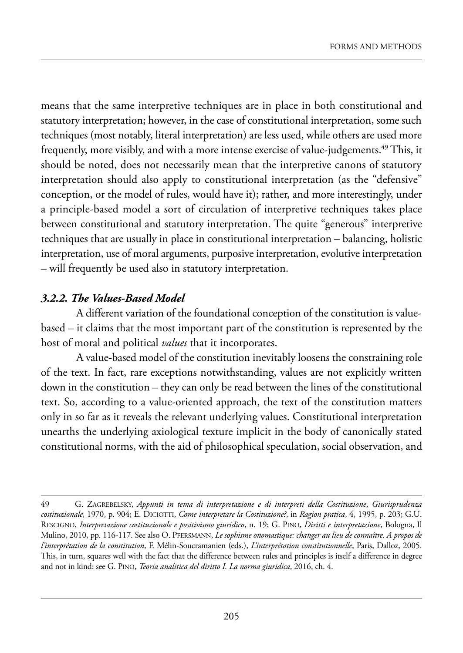means that the same interpretive techniques are in place in both constitutional and statutory interpretation; however, in the case of constitutional interpretation, some such techniques (most notably, literal interpretation) are less used, while others are used more frequently, more visibly, and with a more intense exercise of value-judgements.<sup>49</sup> This, it should be noted, does not necessarily mean that the interpretive canons of statutory interpretation should also apply to constitutional interpretation (as the "defensive" conception, or the model of rules, would have it); rather, and more interestingly, under a principle-based model a sort of circulation of interpretive techniques takes place between constitutional and statutory interpretation. The quite "generous" interpretive techniques that are usually in place in constitutional interpretation – balancing, holistic interpretation, use of moral arguments, purposive interpretation, evolutive interpretation – will frequently be used also in statutory interpretation.

#### *3.2.2. The Values-Based Model*

a different variation of the foundational conception of the constitution is valuebased – it claims that the most important part of the constitution is represented by the host of moral and political *values* that it incorporates.

a value-based model of the constitution inevitably loosens the constraining role of the text. in fact, rare exceptions notwithstanding, values are not explicitly written down in the constitution – they can only be read between the lines of the constitutional text. So, according to a value-oriented approach, the text of the constitution matters only in so far as it reveals the relevant underlying values. Constitutional interpretation unearths the underlying axiological texture implicit in the body of canonically stated constitutional norms, with the aid of philosophical speculation, social observation, and

<sup>49</sup> G. ZaGreBelskY, *Appunti in tema di interpretazione e di interpreti della Costituzione*, *Giurisprudenza costituzionale*, 1970, p. 904; e. diCiotti, *Come interpretare la Costituzione?*, in *Ragion pratica*, 4, 1995, p. 203; G.u. resCiGno, *Interpretazione costituzionale e positivismo giuridico*, n. 19; G. pino, *Diritti e interpretazione*, Bologna, il mulino, 2010, pp. 116-117. see also o. pfersmann, *Le sophisme onomastique: changer au lieu de connaître. A propos de l'interprétation de la constitution*, F. Mélin-Soucramanien (eds.), *L'interprétation constitutionnelle*, Paris, Dalloz, 2005. this, in turn, squares well with the fact that the difference between rules and principles is itself a difference in degree and not in kind: see G. pino, *Teoria analitica del diritto I. La norma giuridica*, 2016, ch. 4.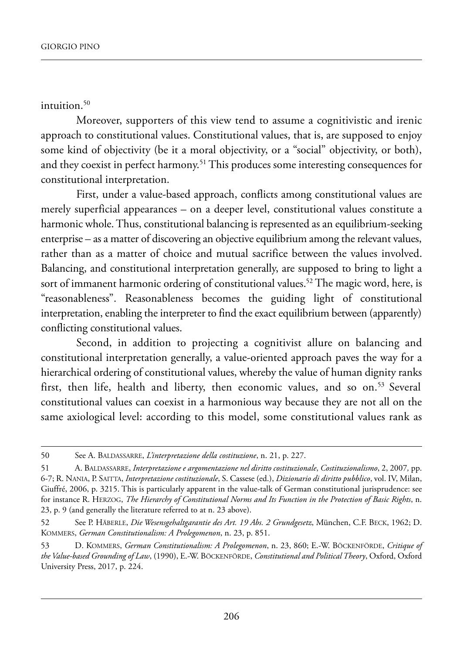intuition. $50$ 

Moreover, supporters of this view tend to assume a cognitivistic and irenic approach to constitutional values. Constitutional values, that is, are supposed to enjoy some kind of objectivity (be it a moral objectivity, or a "social" objectivity, or both), and they coexist in perfect harmony.<sup>51</sup> This produces some interesting consequences for constitutional interpretation.

first, under a value-based approach, conflicts among constitutional values are merely superficial appearances – on a deeper level, constitutional values constitute a harmonic whole. Thus, constitutional balancing is represented as an equilibrium-seeking enterprise – as a matter of discovering an objective equilibrium among the relevant values, rather than as a matter of choice and mutual sacrifice between the values involved. Balancing, and constitutional interpretation generally, are supposed to bring to light a sort of immanent harmonic ordering of constitutional values.<sup>52</sup> The magic word, here, is "reasonableness". Reasonableness becomes the guiding light of constitutional interpretation, enabling the interpreter to find the exact equilibrium between (apparently) conflicting constitutional values.

second, in addition to projecting a cognitivist allure on balancing and constitutional interpretation generally, a value-oriented approach paves the way for a hierarchical ordering of constitutional values, whereby the value of human dignity ranks first, then life, health and liberty, then economic values, and so on.<sup>53</sup> Several constitutional values can coexist in a harmonious way because they are not all on the same axiological level: according to this model, some constitutional values rank as

<sup>50</sup> See A. BALDASSARRE, *L'interpretazione della costituzione*, n. 21, p. 227.

<sup>51</sup> a. Baldassarre, *Interpretazione e argomentazione nel diritto costituzionale*, *Costituzionalismo*, 2, 2007*,* pp. 6-7; r. nania, p. saitta, *Interpretazione costituzionale*, s. Cassese (ed.), *Dizionario di diritto pubblico*, vol. iV, milan, Giuffré, 2006, p. 3215. This is particularly apparent in the value-talk of German constitutional jurisprudence: see for instance R. HERZOG, *The Hierarchy of Constitutional Norms and Its Function in the Protection of Basic Rights*, n. 23, p. 9 (and generally the literature referred to at n. 23 above).

<sup>52</sup> See P. HäBERLE, *Die Wesensgehaltgarantie des Art. 19 Abs. 2 Grundgesetz*, München, C.F. BECK, 1962; D. kommers, *German Constitutionalism: A Prolegomenon*, n. 23, p. 851.

<sup>53</sup> d. kommers, *German Constitutionalism: A Prolegomenon*, n. 23, 860; e.-w. BöCkenförde, *Critique of the Value-based Grounding of Law*, (1990), e.-w. BöCkenförde, *Constitutional and Political Theory*, oxford, oxford University Press, 2017, p. 224.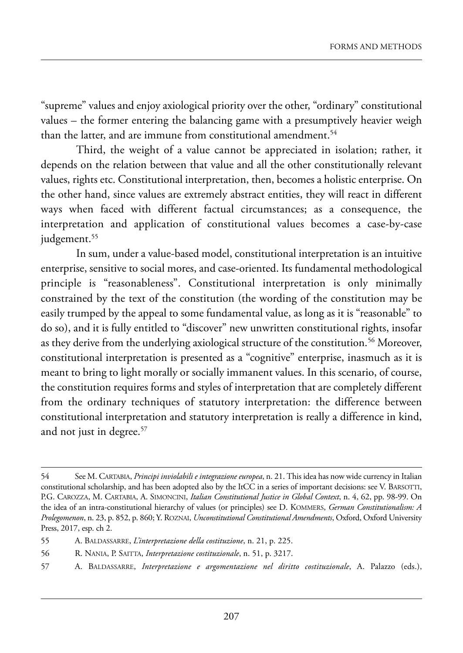"supreme" values and enjoy axiological priority over the other, "ordinary" constitutional values – the former entering the balancing game with a presumptively heavier weigh than the latter, and are immune from constitutional amendment.<sup>54</sup>

Third, the weight of a value cannot be appreciated in isolation; rather, it depends on the relation between that value and all the other constitutionally relevant values, rights etc. Constitutional interpretation, then, becomes a holistic enterprise. On the other hand, since values are extremely abstract entities, they will react in different ways when faced with different factual circumstances; as a consequence, the interpretation and application of constitutional values becomes a case-by-case judgement.<sup>55</sup>

In sum, under a value-based model, constitutional interpretation is an intuitive enterprise, sensitive to social mores, and case-oriented. its fundamental methodological principle is "reasonableness". Constitutional interpretation is only minimally constrained by the text of the constitution (the wording of the constitution may be easily trumped by the appeal to some fundamental value, as long as it is "reasonable" to do so), and it is fully entitled to "discover" new unwritten constitutional rights, insofar as they derive from the underlying axiological structure of the constitution.<sup>56</sup> Moreover, constitutional interpretation is presented as a "cognitive" enterprise, inasmuch as it is meant to bring to light morally or socially immanent values. In this scenario, of course, the constitution requires forms and styles of interpretation that are completely different from the ordinary techniques of statutory interpretation: the difference between constitutional interpretation and statutory interpretation is really a difference in kind, and not just in degree.<sup>57</sup>

- 56 R. NANIA, P. SAITTA, *Interpretazione costituzionale*, n. 51, p. 3217.
- 57 A. BALDASSARRE, *Interpretazione e argomentazione nel diritto costituzionale*, A. Palazzo (eds.),

<sup>54</sup> See M. CARTABIA, *Principi inviolabili e integrazione europea*, n. 21. This idea has now wide currency in Italian constitutional scholarship, and has been adopted also by the ItCC in a series of important decisions: see V. BARSOTTI, P.G. CAROZZA, M. CARTABIA, A. SIMONCINI, *Italian Constitutional Justice in Global Context*, n. 4, 62, pp. 98-99. On the idea of an intra-constitutional hierarchy of values (or principles) see D. KOMMERS, *German Constitutionalism: A Prolegomenon*, n. 23, p. 852, p. 860; Y. roZnai, *Unconstitutional Constitutional Amendments*, oxford, oxford university press, 2017, esp. ch 2.

<sup>55</sup> A. BALDASSARRE, *L'interpretazione della costituzione*, n. 21, p. 225.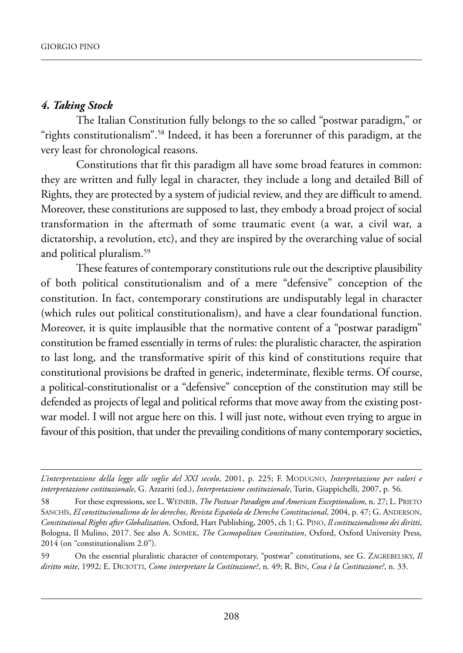#### *4. Taking Stock*

The Italian Constitution fully belongs to the so called "postwar paradigm," or "rights constitutionalism".<sup>58</sup> Indeed, it has been a forerunner of this paradigm, at the very least for chronological reasons.

Constitutions that fit this paradigm all have some broad features in common: they are written and fully legal in character, they include a long and detailed Bill of Rights, they are protected by a system of judicial review, and they are difficult to amend. Moreover, these constitutions are supposed to last, they embody a broad project of social transformation in the aftermath of some traumatic event (a war, a civil war, a dictatorship, a revolution, etc), and they are inspired by the overarching value of social and political pluralism.59

These features of contemporary constitutions rule out the descriptive plausibility of both political constitutionalism and of a mere "defensive" conception of the constitution. in fact, contemporary constitutions are undisputably legal in character (which rules out political constitutionalism), and have a clear foundational function. Moreover, it is quite implausible that the normative content of a "postwar paradigm" constitution be framed essentially in terms of rules: the pluralistic character, the aspiration to last long, and the transformative spirit of this kind of constitutions require that constitutional provisions be drafted in generic, indeterminate, flexible terms. of course, a political-constitutionalist or a "defensive" conception of the constitution may still be defended as projects of legal and political reforms that move away from the existing postwar model. I will not argue here on this. I will just note, without even trying to argue in favour of this position, that under the prevailing conditions of many contemporary societies,

*L'interpretazione della legge alle soglie del XXI secolo*, 2001, p. 225; f. moduGno, *Interpretazione per valori e interpretazione costituzionale*, G. azzariti (ed.), *Interpretazione costituzionale*, turin, Giappichelli, 2007, p. 56.

<sup>58</sup> For these expressions, see L. WEINRIB, *The Postwar Paradigm and American Exceptionalism*, n. 27; L. PRIETO SANCHÍS, *El constitucionalismo de los derechos*, *Revista Española de Derecho Constitucional*, 2004, p. 47; G. ANDERSON, *Constitutional Rights after Globalization*, oxford, hart publishing, 2005, ch 1; G. pino, *Il costituzionalismo dei diritti*, Bologna, Il Mulino, 2017. See also A. SOMEK, *The Cosmopolitan Constitution*, Oxford, Oxford University Press, 2014 (on "constitutionalism 2.0").

<sup>59</sup> On the essential pluralistic character of contemporary, "postwar" constitutions, see G. ZAGREBELSKY, *Il diritto mite*, 1992; E. DICIOTTI, *Come interpretare la Costituzione?*, n. 49; R. BIN, *Cosa è la Costituzione?*, n. 33.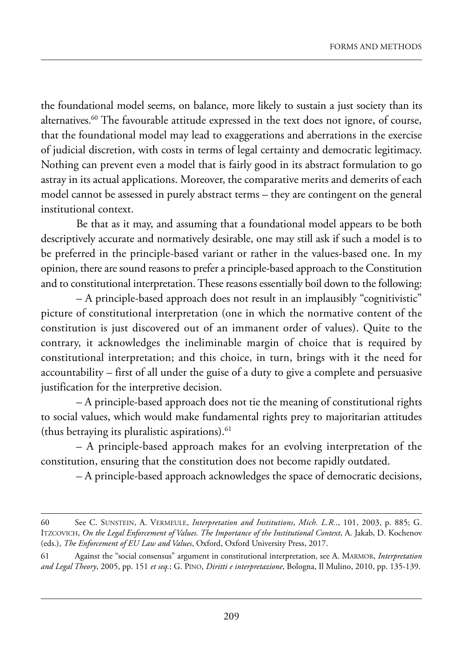the foundational model seems, on balance, more likely to sustain a just society than its alternatives.<sup>60</sup> The favourable attitude expressed in the text does not ignore, of course, that the foundational model may lead to exaggerations and aberrations in the exercise of judicial discretion, with costs in terms of legal certainty and democratic legitimacy. Nothing can prevent even a model that is fairly good in its abstract formulation to go astray in its actual applications. moreover, the comparative merits and demerits of each model cannot be assessed in purely abstract terms – they are contingent on the general institutional context.

Be that as it may, and assuming that a foundational model appears to be both descriptively accurate and normatively desirable, one may still ask if such a model is to be preferred in the principle-based variant or rather in the values-based one. In my opinion, there are sound reasons to prefer a principle-based approach to the Constitution and to constitutional interpretation. These reasons essentially boil down to the following:

– a principle-based approach does not result in an implausibly "cognitivistic" picture of constitutional interpretation (one in which the normative content of the constitution is just discovered out of an immanent order of values). Quite to the contrary, it acknowledges the ineliminable margin of choice that is required by constitutional interpretation; and this choice, in turn, brings with it the need for accountability – first of all under the guise of a duty to give a complete and persuasive justification for the interpretive decision.

– a principle-based approach does not tie the meaning of constitutional rights to social values, which would make fundamental rights prey to majoritarian attitudes (thus betraying its pluralistic aspirations). $61$ 

– a principle-based approach makes for an evolving interpretation of the constitution, ensuring that the constitution does not become rapidly outdated.

– a principle-based approach acknowledges the space of democratic decisions,

<sup>60</sup> see C. sunstein, a. Vermeule, *Interpretation and Institutions*, *Mich. L.R.*., 101, 2003, p. 885; G. ITZCOVICH, *On the Legal Enforcement of Values. The Importance of the Institutional Context*, A. Jakab, D. Kochenov (eds.), *The Enforcement of EU Law and Values*, Oxford, Oxford University Press, 2017.

<sup>61</sup> against the "social consensus" argument in constitutional interpretation, see a. marmor, *Interpretation and Legal Theory*, 2005, pp. 151 *et seq.*; G. pino, *Diritti e interpretazione*, Bologna, il mulino, 2010, pp. 135-139.